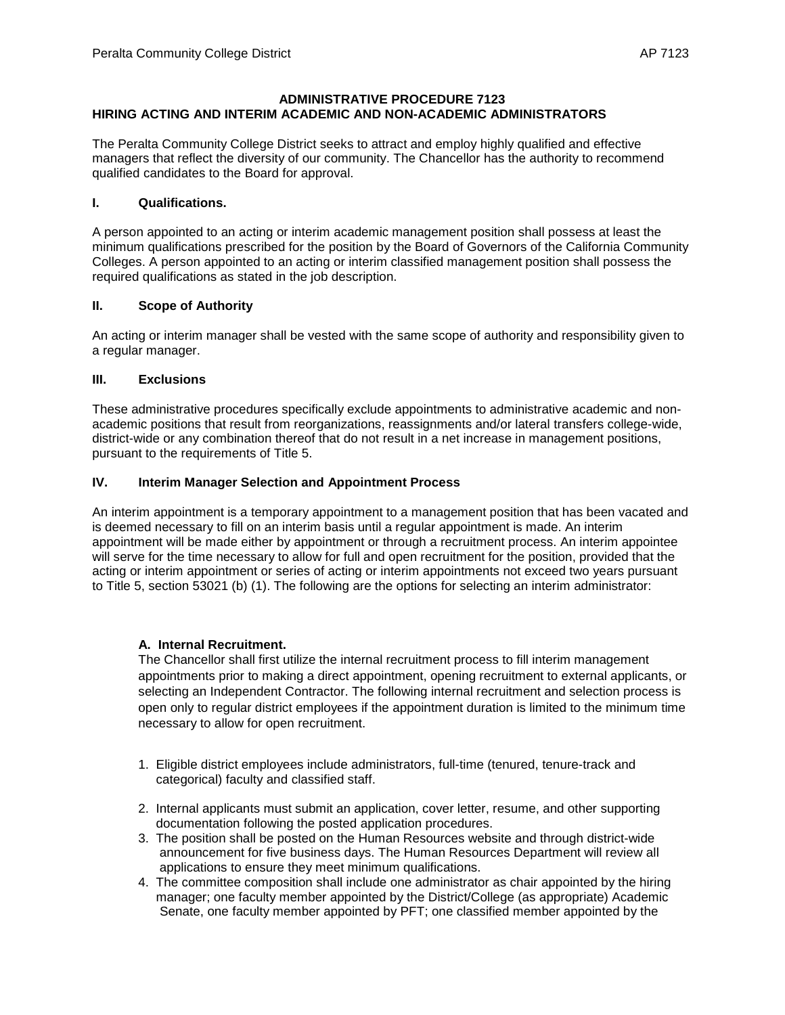## **ADMINISTRATIVE PROCEDURE 7123 HIRING ACTING AND INTERIM ACADEMIC AND NON-ACADEMIC ADMINISTRATORS**

The Peralta Community College District seeks to attract and employ highly qualified and effective managers that reflect the diversity of our community. The Chancellor has the authority to recommend qualified candidates to the Board for approval.

#### **I. Qualifications.**

A person appointed to an acting or interim academic management position shall possess at least the minimum qualifications prescribed for the position by the Board of Governors of the California Community Colleges. A person appointed to an acting or interim classified management position shall possess the required qualifications as stated in the job description.

## **II. Scope of Authority**

An acting or interim manager shall be vested with the same scope of authority and responsibility given to a regular manager.

## **III. Exclusions**

These administrative procedures specifically exclude appointments to administrative academic and nonacademic positions that result from reorganizations, reassignments and/or lateral transfers college-wide, district-wide or any combination thereof that do not result in a net increase in management positions, pursuant to the requirements of Title 5.

# **IV. Interim Manager Selection and Appointment Process**

An interim appointment is a temporary appointment to a management position that has been vacated and is deemed necessary to fill on an interim basis until a regular appointment is made. An interim appointment will be made either by appointment or through a recruitment process. An interim appointee will serve for the time necessary to allow for full and open recruitment for the position, provided that the acting or interim appointment or series of acting or interim appointments not exceed two years pursuant to Title 5, section 53021 (b) (1). The following are the options for selecting an interim administrator:

## **A. Internal Recruitment.**

The Chancellor shall first utilize the internal recruitment process to fill interim management appointments prior to making a direct appointment, opening recruitment to external applicants, or selecting an Independent Contractor. The following internal recruitment and selection process is open only to regular district employees if the appointment duration is limited to the minimum time necessary to allow for open recruitment.

- 1. Eligible district employees include administrators, full-time (tenured, tenure-track and categorical) faculty and classified staff.
- 2. Internal applicants must submit an application, cover letter, resume, and other supporting documentation following the posted application procedures.
- 3. The position shall be posted on the Human Resources website and through district-wide announcement for five business days. The Human Resources Department will review all applications to ensure they meet minimum qualifications.
- 4. The committee composition shall include one administrator as chair appointed by the hiring manager; one faculty member appointed by the District/College (as appropriate) Academic Senate, one faculty member appointed by PFT; one classified member appointed by the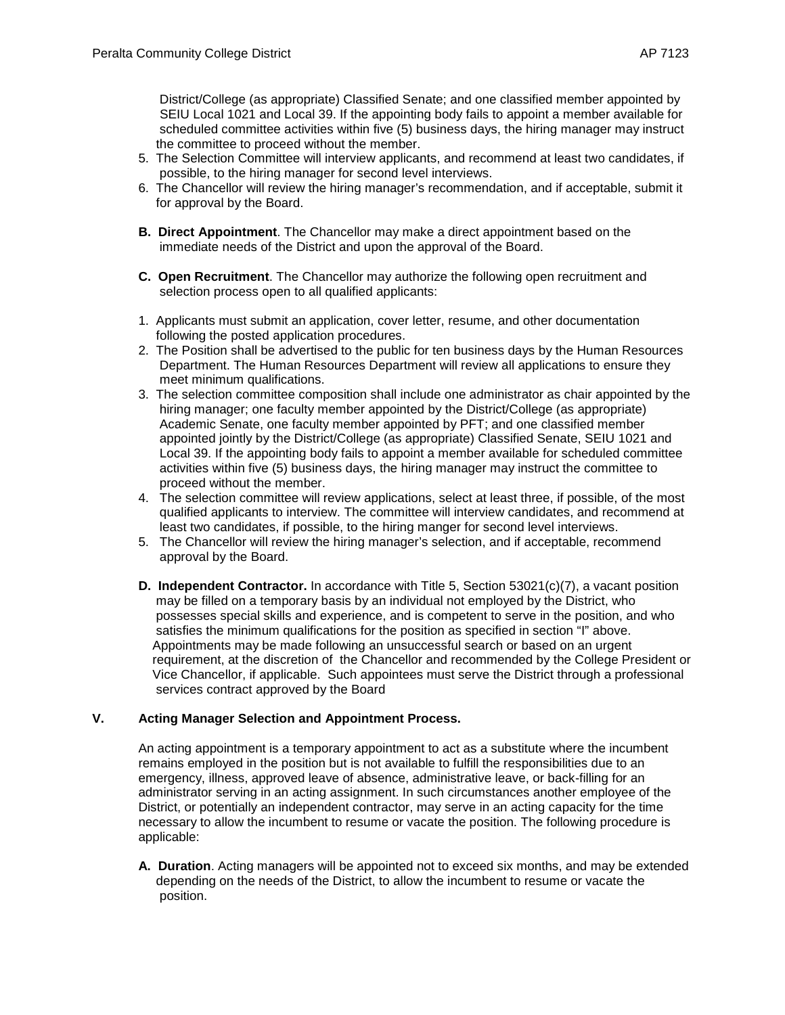District/College (as appropriate) Classified Senate; and one classified member appointed by SEIU Local 1021 and Local 39. If the appointing body fails to appoint a member available for scheduled committee activities within five (5) business days, the hiring manager may instruct the committee to proceed without the member.

- 5. The Selection Committee will interview applicants, and recommend at least two candidates, if possible, to the hiring manager for second level interviews.
- 6. The Chancellor will review the hiring manager's recommendation, and if acceptable, submit it for approval by the Board.
- **B. Direct Appointment**. The Chancellor may make a direct appointment based on the immediate needs of the District and upon the approval of the Board.
- **C. Open Recruitment**. The Chancellor may authorize the following open recruitment and selection process open to all qualified applicants:
- 1. Applicants must submit an application, cover letter, resume, and other documentation following the posted application procedures.
- 2. The Position shall be advertised to the public for ten business days by the Human Resources Department. The Human Resources Department will review all applications to ensure they meet minimum qualifications.
- 3. The selection committee composition shall include one administrator as chair appointed by the hiring manager; one faculty member appointed by the District/College (as appropriate) Academic Senate, one faculty member appointed by PFT; and one classified member appointed jointly by the District/College (as appropriate) Classified Senate, SEIU 1021 and Local 39. If the appointing body fails to appoint a member available for scheduled committee activities within five (5) business days, the hiring manager may instruct the committee to proceed without the member.
- 4. The selection committee will review applications, select at least three, if possible, of the most qualified applicants to interview. The committee will interview candidates, and recommend at least two candidates, if possible, to the hiring manger for second level interviews.
- 5. The Chancellor will review the hiring manager's selection, and if acceptable, recommend approval by the Board.
- **D. Independent Contractor.** In accordance with Title 5, Section 53021(c)(7), a vacant position may be filled on a temporary basis by an individual not employed by the District, who possesses special skills and experience, and is competent to serve in the position, and who satisfies the minimum qualifications for the position as specified in section "I" above. Appointments may be made following an unsuccessful search or based on an urgent requirement, at the discretion of the Chancellor and recommended by the College President or Vice Chancellor, if applicable. Such appointees must serve the District through a professional services contract approved by the Board

## **V. Acting Manager Selection and Appointment Process.**

An acting appointment is a temporary appointment to act as a substitute where the incumbent remains employed in the position but is not available to fulfill the responsibilities due to an emergency, illness, approved leave of absence, administrative leave, or back-filling for an administrator serving in an acting assignment. In such circumstances another employee of the District, or potentially an independent contractor, may serve in an acting capacity for the time necessary to allow the incumbent to resume or vacate the position. The following procedure is applicable:

**A. Duration**. Acting managers will be appointed not to exceed six months, and may be extended depending on the needs of the District, to allow the incumbent to resume or vacate the position.